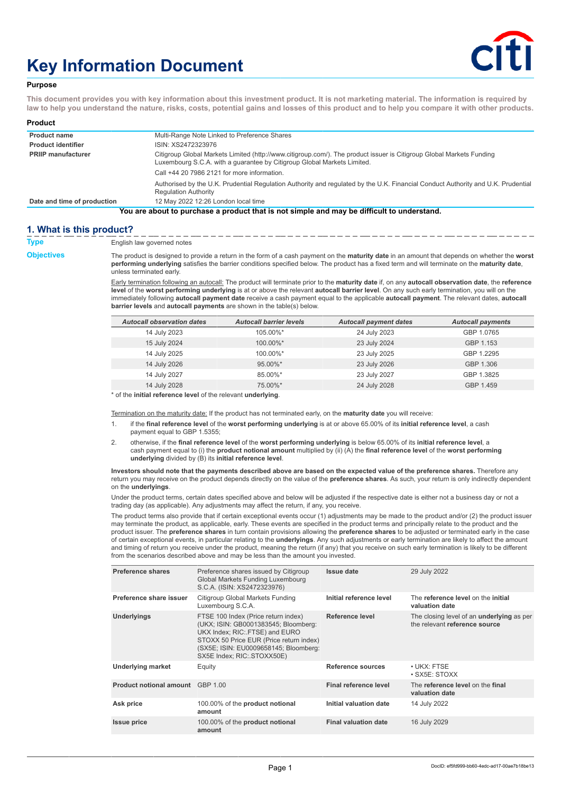# **Key Information Document**



## **Purpose**

**This document provides you with key information about this investment product. It is not marketing material. The information is required by law to help you understand the nature, risks, costs, potential gains and losses of this product and to help you compare it with other products.**

| Product                     |                                                                                                                                                                                                 |
|-----------------------------|-------------------------------------------------------------------------------------------------------------------------------------------------------------------------------------------------|
| <b>Product name</b>         | Multi-Range Note Linked to Preference Shares                                                                                                                                                    |
| <b>Product identifier</b>   | ISIN: XS2472323976                                                                                                                                                                              |
| <b>PRIIP manufacturer</b>   | Citigroup Global Markets Limited (http://www.citigroup.com/). The product issuer is Citigroup Global Markets Funding<br>Luxembourg S.C.A. with a quarantee by Citigroup Global Markets Limited. |
|                             | Call +44 20 7986 2121 for more information.                                                                                                                                                     |
|                             | Authorised by the U.K. Prudential Regulation Authority and regulated by the U.K. Financial Conduct Authority and U.K. Prudential<br><b>Regulation Authority</b>                                 |
| Date and time of production | 12 May 2022 12:26 London local time                                                                                                                                                             |
|                             | You are about to purchase a product that is not simple and may be difficult to understand.                                                                                                      |

**1. What is this product? Type** English law governed notes

**Objectives** The product is designed to provide a return in the form of a cash payment on the **maturity date** in an amount that depends on whether the **worst performing underlying** satisfies the barrier conditions specified below. The product has a fixed term and will terminate on the **maturity date**, unless terminated early.

> Early termination following an autocall: The product will terminate prior to the **maturity date** if, on any **autocall observation date**, the **reference level** of the **worst performing underlying** is at or above the relevant **autocall barrier level**. On any such early termination, you will on the immediately following **autocall payment date** receive a cash payment equal to the applicable **autocall payment**. The relevant dates, **autocall barrier levels** and **autocall payments** are shown in the table(s) below.

| <b>Autocall observation dates</b> | <b>Autocall barrier levels</b> | <b>Autocall payment dates</b> | <b>Autocall payments</b> |
|-----------------------------------|--------------------------------|-------------------------------|--------------------------|
| 14 July 2023                      | 105.00%*                       | 24 July 2023                  | GBP 1.0765               |
| 15 July 2024                      | $100.00\%$ *                   | 23 July 2024                  | GBP 1.153                |
| 14 July 2025                      | 100.00%*                       | 23 July 2025                  | GBP 1.2295               |
| 14 July 2026                      | $95.00\%$ *                    | 23 July 2026                  | GBP 1.306                |
| 14 July 2027                      | 85.00%*                        | 23 July 2027                  | GBP 1.3825               |
| 14 July 2028                      | 75.00%*                        | 24 July 2028                  | GBP 1.459                |

\* of the **initial reference level** of the relevant **underlying**.

Termination on the maturity date: If the product has not terminated early, on the **maturity date** you will receive:

- 1. if the **final reference level** of the **worst performing underlying** is at or above 65.00% of its **initial reference level**, a cash payment equal to GBP 1.5355;
- 2. otherwise, if the **final reference level** of the **worst performing underlying** is below 65.00% of its **initial reference level**, a cash payment equal to (i) the **product notional amount** multiplied by (ii) (A) the **final reference level** of the **worst performing underlying** divided by (B) its **initial reference level**.

**Investors should note that the payments described above are based on the expected value of the preference shares.** Therefore any return you may receive on the product depends directly on the value of the **preference shares**. As such, your return is only indirectly dependent on the **underlyings**.

Under the product terms, certain dates specified above and below will be adjusted if the respective date is either not a business day or not a trading day (as applicable). Any adjustments may affect the return, if any, you receive.

The product terms also provide that if certain exceptional events occur (1) adjustments may be made to the product and/or (2) the product issuer may terminate the product, as applicable, early. These events are specified in the product terms and principally relate to the product and the product issuer. The **preference shares** in turn contain provisions allowing the **preference shares** to be adjusted or terminated early in the case of certain exceptional events, in particular relating to the **underlyings**. Any such adjustments or early termination are likely to affect the amount and timing of return you receive under the product, meaning the return (if any) that you receive on such early termination is likely to be different from the scenarios described above and may be less than the amount you invested.

| Preference shares                       | Preference shares issued by Citigroup<br>Global Markets Funding Luxembourg<br>S.C.A. (ISIN: XS2472323976)                                                                                                                       | Issue date                   | 29 July 2022                                                                      |
|-----------------------------------------|---------------------------------------------------------------------------------------------------------------------------------------------------------------------------------------------------------------------------------|------------------------------|-----------------------------------------------------------------------------------|
| Preference share issuer                 | Citigroup Global Markets Funding<br>Luxembourg S.C.A.                                                                                                                                                                           | Initial reference level      | The reference level on the initial<br>valuation date                              |
| <b>Underlyings</b>                      | FTSE 100 Index (Price return index)<br>(UKX; ISIN: GB0001383545; Bloomberg:<br>UKX Index; RIC: FTSE) and EURO<br>STOXX 50 Price EUR (Price return index)<br>(SX5E; ISIN: EU0009658145; Bloomberg:<br>SX5E Index; RIC: STOXX50E) | Reference level              | The closing level of an <b>underlying</b> as per<br>the relevant reference source |
| <b>Underlying market</b>                | Equity                                                                                                                                                                                                                          | Reference sources            | • UKX: FTSE<br>$\cdot$ SX5E: STOXX                                                |
| <b>Product notional amount</b> GBP 1.00 |                                                                                                                                                                                                                                 | <b>Final reference level</b> | The reference level on the final<br>valuation date                                |
| Ask price                               | 100.00% of the product notional<br>amount                                                                                                                                                                                       | Initial valuation date       | 14 July 2022                                                                      |
| <b>Issue price</b>                      | 100.00% of the <b>product notional</b><br>amount                                                                                                                                                                                | <b>Final valuation date</b>  | 16 July 2029                                                                      |
|                                         |                                                                                                                                                                                                                                 |                              |                                                                                   |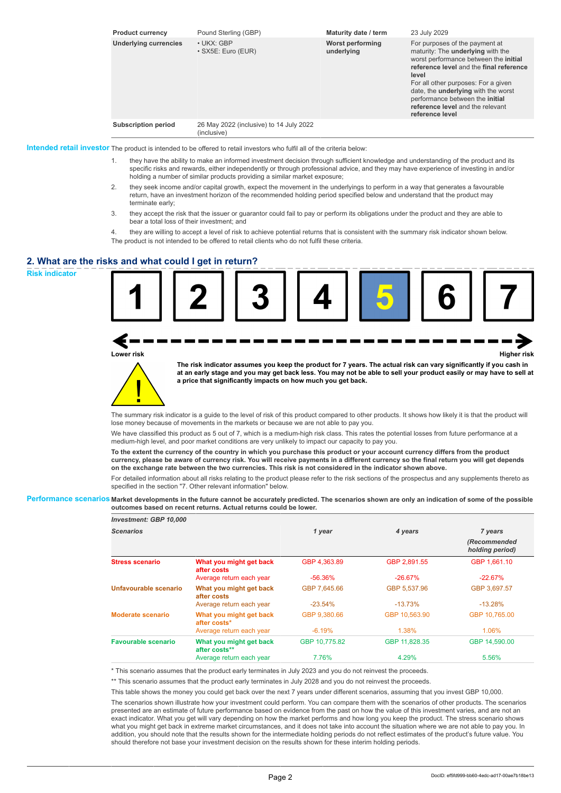| <b>Product currency</b>      | Pound Sterling (GBP)                                   | Maturity date / term           | 23 July 2029                                                                                                                                                                                                                                                                                                                                           |
|------------------------------|--------------------------------------------------------|--------------------------------|--------------------------------------------------------------------------------------------------------------------------------------------------------------------------------------------------------------------------------------------------------------------------------------------------------------------------------------------------------|
| <b>Underlying currencies</b> | $\cdot$ UKX: GBP<br>• SX5E: Euro (EUR)                 | Worst performing<br>underlying | For purposes of the payment at<br>maturity: The <b>underlying</b> with the<br>worst performance between the initial<br>reference level and the final reference<br>level<br>For all other purposes: For a given<br>date, the <b>underlying</b> with the worst<br>performance between the initial<br>reference level and the relevant<br>reference level |
| <b>Subscription period</b>   | 26 May 2022 (inclusive) to 14 July 2022<br>(inclusive) |                                |                                                                                                                                                                                                                                                                                                                                                        |

**Intended retail investor** The product is intended to be offered to retail investors who fulfil all of the criteria below:

- 1. they have the ability to make an informed investment decision through sufficient knowledge and understanding of the product and its specific risks and rewards, either independently or through professional advice, and they may have experience of investing in and/or holding a number of similar products providing a similar market exposure;
- 2. they seek income and/or capital growth, expect the movement in the underlyings to perform in a way that generates a favourable return, have an investment horizon of the recommended holding period specified below and understand that the product may terminate early;
- 3. they accept the risk that the issuer or guarantor could fail to pay or perform its obligations under the product and they are able to bear a total loss of their investment; and

4. they are willing to accept a level of risk to achieve potential returns that is consistent with the summary risk indicator shown below. The product is not intended to be offered to retail clients who do not fulfil these criteria.

# **2. What are the risks and what could I get in return?**

**Risk indicator**

**Lower risk Higher risk**

**The risk indicator assumes you keep the product for 7 years. The actual risk can vary significantly if you cash in at an early stage and you may get back less. You may not be able to sell your product easily or may have to sell at a price that significantly impacts on how much you get back.**

The summary risk indicator is a guide to the level of risk of this product compared to other products. It shows how likely it is that the product will lose money because of movements in the markets or because we are not able to pay you.

We have classified this product as 5 out of 7, which is a medium-high risk class. This rates the potential losses from future performance at a medium-high level, and poor market conditions are very unlikely to impact our capacity to pay you.

**To the extent the currency of the country in which you purchase this product or your account currency differs from the product currency, please be aware of currency risk. You will receive payments in a different currency so the final return you will get depends on the exchange rate between the two currencies. This risk is not considered in the indicator shown above.**

For detailed information about all risks relating to the product please refer to the risk sections of the prospectus and any supplements thereto as specified in the section "7. Other relevant information" below.

**Performance scenarios Market developments in the future cannot be accurately predicted. The scenarios shown are only an indication of some of the possible outcomes based on recent returns. Actual returns could be lower.**

| <b>Investment: GBP 10,000</b> |                                          |               |               |                                 |
|-------------------------------|------------------------------------------|---------------|---------------|---------------------------------|
| <b>Scenarios</b>              |                                          | 1 year        | 4 years       | 7 years                         |
|                               |                                          |               |               | (Recommended<br>holding period) |
| <b>Stress scenario</b>        | What you might get back<br>after costs   | GBP 4.363.89  | GBP 2.891.55  | GBP 1.661.10                    |
|                               | Average return each year                 | $-56.36\%$    | $-26.67%$     | $-22.67%$                       |
| Unfavourable scenario         | What you might get back<br>after costs   | GBP 7.645.66  | GBP 5,537.96  | GBP 3,697.57                    |
|                               | Average return each year                 | $-23.54%$     | $-13.73%$     | $-13.28%$                       |
| Moderate scenario             | What you might get back<br>after costs*  | GBP 9,380.66  | GBP 10.563.90 | GBP 10.765.00                   |
|                               | Average return each year                 | $-6.19%$      | 1.38%         | 1.06%                           |
| Favourable scenario           | What you might get back<br>after costs** | GBP 10.775.82 | GBP 11.828.35 | GBP 14,590.00                   |
|                               | Average return each year                 | 7.76%         | 4.29%         | 5.56%                           |

\* This scenario assumes that the product early terminates in July 2023 and you do not reinvest the proceeds.

\*\* This scenario assumes that the product early terminates in July 2028 and you do not reinvest the proceeds.

This table shows the money you could get back over the next 7 years under different scenarios, assuming that you invest GBP 10,000.

The scenarios shown illustrate how your investment could perform. You can compare them with the scenarios of other products. The scenarios presented are an estimate of future performance based on evidence from the past on how the value of this investment varies, and are not an exact indicator. What you get will vary depending on how the market performs and how long you keep the product. The stress scenario shows what you might get back in extreme market circumstances, and it does not take into account the situation where we are not able to pay you. In addition, you should note that the results shown for the intermediate holding periods do not reflect estimates of the product's future value. You should therefore not base your investment decision on the results shown for these interim holding periods.